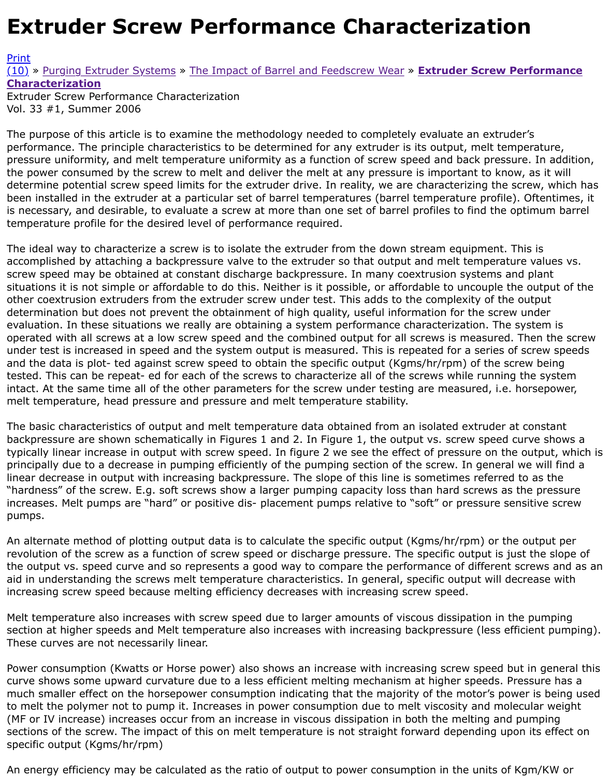#### Vol. 33 #1, Summer 2006

The purpose of this article is to examine the methodology needed to completely evaluate an extrud performance. The principle characteristics to be determined for any extruder is its output, melt tem [press](http://extrusionwiki.com/wiki/Print.aspx?Page=CC-V33-1-F)ure uniformity, and melt temperature uniformity as a function of screw speed and back pressure. [the p](http://extrusionwiki.com/wiki/CC-V33-1-F.ashx#)o[wer consumed by the screw](http://extrusionwiki.com/wiki/CC-V33-1-D.ashx) [to melt and deliver the melt at any pressur](http://extrusionwiki.com/wiki/CC-V33-1-E.ashx)e is important to know determine potential screw speed limits for the extruder drive. In reality, we are characterizing the ser been installed in the extruder at a particular set of barrel temperatures (barrel temperature profile). is necessary, and desirable, to evaluate a screw at more than one set of barrel profiles to find the optimum b temperature profile for the desired level of performance required.

The ideal way to characterize a screw is to isolate the extruder from the down stream equipment. T accomplished by attaching a backpressure valve to the extruder so that output and melt temperature screw speed may be obtained at constant discharge backpressure. In many coextrusion systems an situations it is not simple or affordable to do this. Neither is it possible, or affordable to uncouple the other coextrusion extruders from the extruder screw under test. This adds to the complexity of the determination but does not prevent the obtainment of high quality, useful information for the screw evaluation. In these situations we really are obtaining a system performance characterization. The s operated with all screws at a low screw speed and the combined output for all screws is measured. under test is increased in speed and the system output is measured. This is repeated for a series of and the data is plot- ted against screw speed to obtain the specific output (Kgms/hr/rpm) of the scr tested. This can be repeat- ed for each of the screws to characterize all of the screws while running intact. At the same time all of the other parameters for the screw under testing are measured, i.e. h melt temperature, head pressure and pressure and melt temperature stability.

The basic characteristics of output and melt temperature data obtained from an isolated extruder at backpressure are shown schematically in Figures 1 and 2. In Figure 1, the output vs. screw speed c typically linear increase in output with screw speed. In figure 2 we see the effect of pressure on the principally due to a decrease in pumping efficiently of the pumping section of the screw. In general linear decrease in output with increasing backpressure. The slope of this line is sometimes referred "hardness" of the screw. E.g. soft screws show a larger pumping capacity loss than hard screws as t increases. Melt pumps are "hard" or positive dis- placement pumps relative to "soft" or pressure ser pumps.

An alternate method of plotting output data is to calculate the specific output (Kgms/hr/rpm) or the revolution of the screw as a function of screw speed or discharge pressure. The specific output is just the output vs. speed curve and so represents a good way to compare the performance of different s aid in understanding the screws melt temperature characteristics. In general, specific output will de increasing screw speed because melting efficiency decreases with increasing screw speed.

Melt temperature also increases with screw speed due to larger amounts of viscous dissipation in th section at higher speeds and Melt temperature also increases with increasing backpressure (less eff These curves are not necessarily linear.

Power consumption (Kwatts or Horse power) also shows an increase with increasing screw speed bu curve shows some upward curvature due to a less efficient melting mechanism at higher speeds. Pr much smaller effect on the horsepower consumption indicating that the majority of the motor's pow to melt the polymer not to pump it. Increases in power consumption due to melt viscosity and mole (MF or IV increase) increases occur from an increase in viscous dissipation in both the melting and pumping sections of the screw. The impact of this on melt temperature is not straight forward depending upo specific output (Kgms/hr/rpm)

An energy efficiency may be calculated as the ratio of output to power consumption in the units of k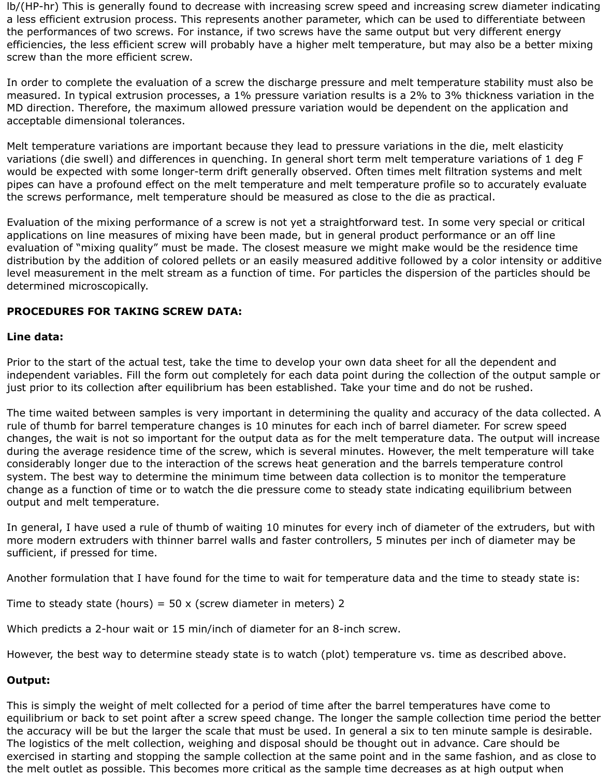lb/(HP-hr) This is generally found to decrease with increasing screw speed and increasing screw diameter indicating a less efficient extrusion process. This represents another parameter, which can be used to differentiate between the performances of two screws. For instance, if two screws have the same output but very different energy efficiencies, the less efficient screw will probably have a higher melt temperature, but may also be a better mixing screw than the more efficient screw.

In order to complete the evaluation of a screw the discharge pressure and melt temperature stability must also be measured. In typical extrusion processes, a 1% pressure variation results is a 2% to 3% thickness variation in the MD direction. Therefore, the maximum allowed pressure variation would be dependent on the application and acceptable dimensional tolerances.

Melt temperature variations are important because they lead to pressure variations in the die, melt elasticity variations (die swell) and differences in quenching. In general short term melt temperature variations of 1 deg F would be expected with some longer-term drift generally observed. Often times melt filtration systems and melt pipes can have a profound effect on the melt temperature and melt temperature profile so to accurately evaluate the screws performance, melt temperature should be measured as close to the die as practical.

Evaluation of the mixing performance of a screw is not yet a straightforward test. In some very special or critical applications on line measures of mixing have been made, but in general product performance or an off line evaluation of "mixing quality" must be made. The closest measure we might make would be the residence time distribution by the addition of colored pellets or an easily measured additive followed by a color intensity or additive level measurement in the melt stream as a function of time. For particles the dispersion of the particles should be determined microscopically.

## **PROCEDURES FOR TAKING SCREW DATA:**

#### **Line data:**

Prior to the start of the actual test, take the time to develop your own data sheet for all the dependent and independent variables. Fill the form out completely for each data point during the collection of the output sample or just prior to its collection after equilibrium has been established. Take your time and do not be rushed.

The time waited between samples is very important in determining the quality and accuracy of the data collected. A rule of thumb for barrel temperature changes is 10 minutes for each inch of barrel diameter. For screw speed changes, the wait is not so important for the output data as for the melt temperature data. The output will increase during the average residence time of the screw, which is several minutes. However, the melt temperature will take considerably longer due to the interaction of the screws heat generation and the barrels temperature control system. The best way to determine the minimum time between data collection is to monitor the temperature change as a function of time or to watch the die pressure come to steady state indicating equilibrium between output and melt temperature.

In general, I have used a rule of thumb of waiting 10 minutes for every inch of diameter of the extruders, but with more modern extruders with thinner barrel walls and faster controllers, 5 minutes per inch of diameter may be sufficient, if pressed for time.

Another formulation that I have found for the time to wait for temperature data and the time to steady state is:

Time to steady state (hours) =  $50 \times$  (screw diameter in meters) 2

Which predicts a 2-hour wait or 15 min/inch of diameter for an 8-inch screw.

However, the best way to determine steady state is to watch (plot) temperature vs. time as described above.

## **Output:**

This is simply the weight of melt collected for a period of time after the barrel temperatures have come to equilibrium or back to set point after a screw speed change. The longer the sample collection time period the better the accuracy will be but the larger the scale that must be used. In general a six to ten minute sample is desirable. The logistics of the melt collection, weighing and disposal should be thought out in advance. Care should be exercised in starting and stopping the sample collection at the same point and in the same fashion, and as close to the melt outlet as possible. This becomes more critical as the sample time decreases as at high output when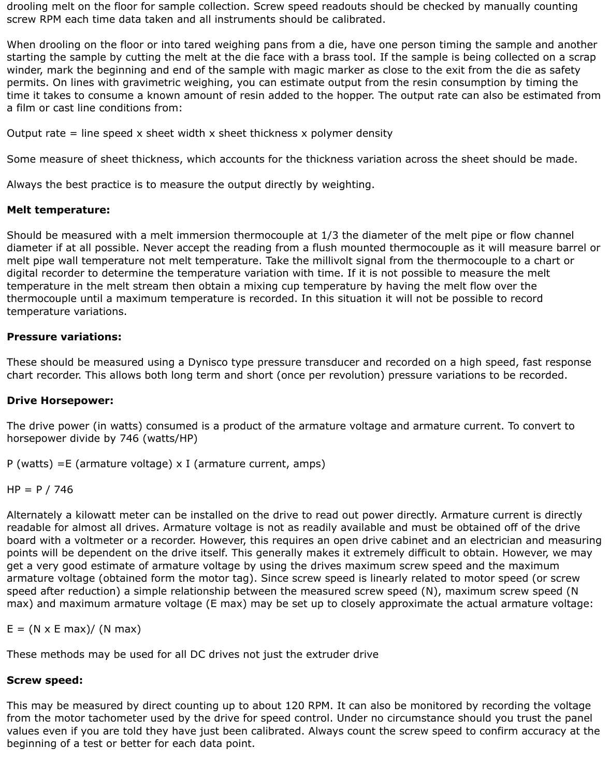drooling melt on the floor for sample collection. Screw speed readouts should be checked by manually counting screw RPM each time data taken and all instruments should be calibrated.

When drooling on the floor or into tared weighing pans from a die, have one person timing the sample and another starting the sample by cutting the melt at the die face with a brass tool. If the sample is being collected on a scrap winder, mark the beginning and end of the sample with magic marker as close to the exit from the die as safety permits. On lines with gravimetric weighing, you can estimate output from the resin consumption by timing the time it takes to consume a known amount of resin added to the hopper. The output rate can also be estimated from a film or cast line conditions from:

Output rate  $=$  line speed x sheet width x sheet thickness x polymer density

Some measure of sheet thickness, which accounts for the thickness variation across the sheet should be made.

Always the best practice is to measure the output directly by weighting.

## **Melt temperature:**

Should be measured with a melt immersion thermocouple at 1/3 the diameter of the melt pipe or flow channel diameter if at all possible. Never accept the reading from a flush mounted thermocouple as it will measure barrel or melt pipe wall temperature not melt temperature. Take the millivolt signal from the thermocouple to a chart or digital recorder to determine the temperature variation with time. If it is not possible to measure the melt temperature in the melt stream then obtain a mixing cup temperature by having the melt flow over the thermocouple until a maximum temperature is recorded. In this situation it will not be possible to record temperature variations.

# **Pressure variations:**

These should be measured using a Dynisco type pressure transducer and recorded on a high speed, fast response chart recorder. This allows both long term and short (once per revolution) pressure variations to be recorded.

## **Drive Horsepower:**

The drive power (in watts) consumed is a product of the armature voltage and armature current. To convert to horsepower divide by 746 (watts/HP)

P (watts) = E (armature voltage)  $x$  I (armature current, amps)

 $HP = P / 746$ 

Alternately a kilowatt meter can be installed on the drive to read out power directly. Armature current is directly readable for almost all drives. Armature voltage is not as readily available and must be obtained off of the drive board with a voltmeter or a recorder. However, this requires an open drive cabinet and an electrician and measuring points will be dependent on the drive itself. This generally makes it extremely difficult to obtain. However, we may get a very good estimate of armature voltage by using the drives maximum screw speed and the maximum armature voltage (obtained form the motor tag). Since screw speed is linearly related to motor speed (or screw speed after reduction) a simple relationship between the measured screw speed (N), maximum screw speed (N max) and maximum armature voltage (E max) may be set up to closely approximate the actual armature voltage:

 $E = (N \times E \text{ max}) / (N \text{ max})$ 

These methods may be used for all DC drives not just the extruder drive

# **Screw speed:**

This may be measured by direct counting up to about 120 RPM. It can also be monitored by recording the voltage from the motor tachometer used by the drive for speed control. Under no circumstance should you trust the panel values even if you are told they have just been calibrated. Always count the screw speed to confirm accuracy at the beginning of a test or better for each data point.